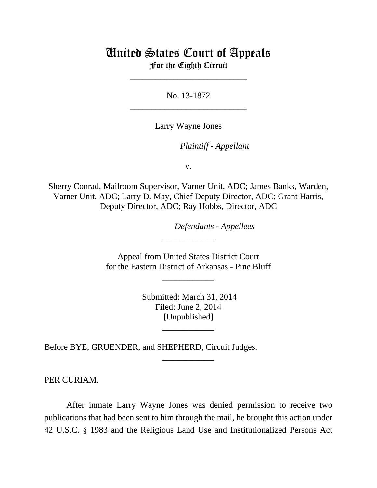## United States Court of Appeals For the Eighth Circuit

\_\_\_\_\_\_\_\_\_\_\_\_\_\_\_\_\_\_\_\_\_\_\_\_\_\_\_

No. 13-1872 \_\_\_\_\_\_\_\_\_\_\_\_\_\_\_\_\_\_\_\_\_\_\_\_\_\_\_

Larry Wayne Jones

lllllllllllllllllllll *Plaintiff - Appellant*

v.

Sherry Conrad, Mailroom Supervisor, Varner Unit, ADC; James Banks, Warden, Varner Unit, ADC; Larry D. May, Chief Deputy Director, ADC; Grant Harris, Deputy Director, ADC; Ray Hobbs, Director, ADC

 $Defendants$  - Appellees

 Appeal from United States District Court for the Eastern District of Arkansas - Pine Bluff

\_\_\_\_\_\_\_\_\_\_\_\_

\_\_\_\_\_\_\_\_\_\_\_\_

 Submitted: March 31, 2014 Filed: June 2, 2014 [Unpublished]

\_\_\_\_\_\_\_\_\_\_\_\_

\_\_\_\_\_\_\_\_\_\_\_\_

Before BYE, GRUENDER, and SHEPHERD, Circuit Judges.

PER CURIAM.

After inmate Larry Wayne Jones was denied permission to receive two publications that had been sent to him through the mail, he brought this action under 42 U.S.C. § 1983 and the Religious Land Use and Institutionalized Persons Act